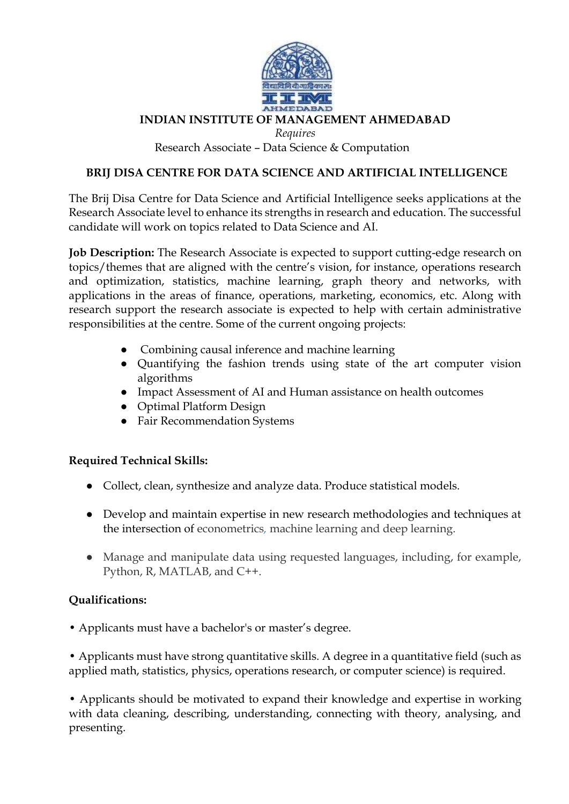

## **INDIAN INSTITUTE OF MANAGEMENT AHMEDABAD**

*Requires*

Research Associate – Data Science & Computation

## **BRIJ DISA CENTRE FOR DATA SCIENCE AND ARTIFICIAL INTELLIGENCE**

The Brij Disa Centre for Data Science and Artificial Intelligence seeks applications at the Research Associate level to enhance its strengths in research and education. The successful candidate will work on topics related to Data Science and AI.

**Job Description:** The Research Associate is expected to support cutting-edge research on topics/themes that are aligned with the centre's vision, for instance, operations research and optimization, statistics, machine learning, graph theory and networks, with applications in the areas of finance, operations, marketing, economics, etc. Along with research support the research associate is expected to help with certain administrative responsibilities at the centre. Some of the current ongoing projects:

- Combining causal inference and machine learning
- Quantifying the fashion trends using state of the art computer vision algorithms
- Impact Assessment of AI and Human assistance on health outcomes
- Optimal Platform Design
- Fair Recommendation Systems

## **Required Technical Skills:**

- Collect, clean, synthesize and analyze data. Produce statistical models.
- Develop and maintain expertise in new research methodologies and techniques at the intersection of econometrics*,* machine learning and deep learning.
- Manage and manipulate data using requested languages, including, for example, Python, R, MATLAB, and C++.

## **Qualifications:**

• Applicants must have a bachelor's or master's degree.

• Applicants must have strong quantitative skills. A degree in a quantitative field (such as applied math, statistics, physics, operations research, or computer science) is required.

• Applicants should be motivated to expand their knowledge and expertise in working with data cleaning, describing, understanding, connecting with theory, analysing, and presenting.